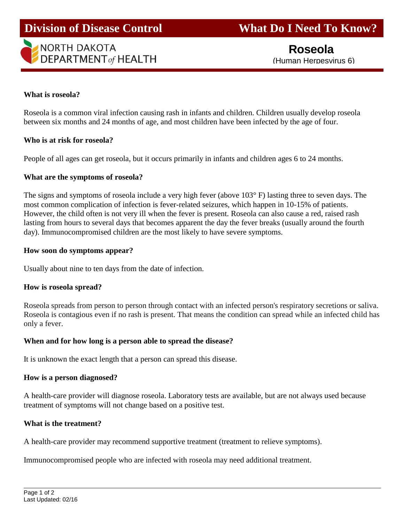

### **What is roseola?**

Ī

Roseola is a common viral infection causing rash in infants and children. Children usually develop roseola between six months and 24 months of age, and most children have been infected by the age of four.

#### **Who is at risk for roseola?**

People of all ages can get roseola, but it occurs primarily in infants and children ages 6 to 24 months.

#### **What are the symptoms of roseola?**

The signs and symptoms of roseola include a very high fever (above 103° F) lasting three to seven days. The most common complication of infection is fever-related seizures, which happen in 10-15% of patients. However, the child often is not very ill when the fever is present. Roseola can also cause a red, raised rash lasting from hours to several days that becomes apparent the day the fever breaks (usually around the fourth day). Immunocompromised children are the most likely to have severe symptoms.

#### **How soon do symptoms appear?**

Usually about nine to ten days from the date of infection.

#### **How is roseola spread?**

Roseola spreads from person to person through contact with an infected person's respiratory secretions or saliva. Roseola is contagious even if no rash is present. That means the condition can spread while an infected child has only a fever.

# **When and for how long is a person able to spread the disease?**

It is unknown the exact length that a person can spread this disease.

#### **How is a person diagnosed?**

A health-care provider will diagnose roseola. Laboratory tests are available, but are not always used because treatment of symptoms will not change based on a positive test.

# **What is the treatment?**

A health-care provider may recommend supportive treatment (treatment to relieve symptoms).

Immunocompromised people who are infected with roseola may need additional treatment.